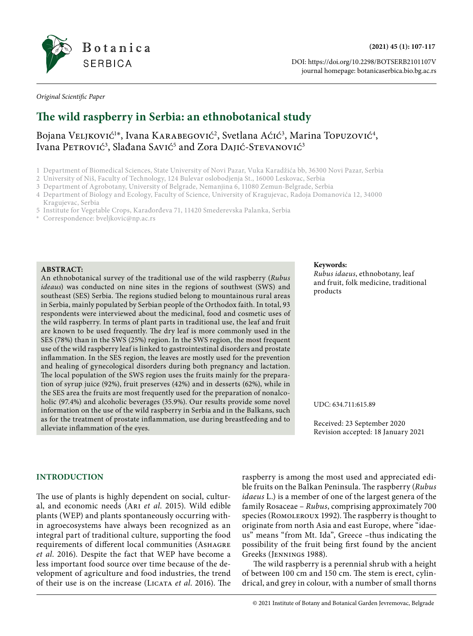

DOI: https://doi.org/10.2298/BOTSERB2101107V journal homepage: botanicaserbica.bio.bg.ac.rs

*Original Scientific Paper*

## **The wild raspberry in Serbia: an ethnobotanical study**

### Bojana Veljković<sup>1\*</sup>, Ivana KARABEGOvić<sup>2</sup>, Svetlana Aćić<sup>3</sup>, Marina Topuzović<sup>4</sup>, Ivana Petrović<sup>3</sup>, Slađana Savić<sup>5</sup> and Zora Dajić-Stevanović<sup>3</sup>

- 1 Department of Biomedical Sciences, State University of Novi Pazar, Vuka Karadžića bb, 36300 Novi Pazar, Serbia
- 2 University of Niš, Faculty of Technology, 124 Bulevar oslobodjenja St., 16000 Leskovac, Serbia
- 3 Department of Agrobotany, University of Belgrade, Nemanjina 6, 11080 Zemun-Belgrade, Serbia
- 4 Department of Biology and Ecology, Faculty of Science, University of Kragujevac, Radoja Domanovića 12, 34000 Kragujevac, Serbia
- 5 Institute for Vegetable Crops, Karađorđeva 71, 11420 Smederevska Palanka, Serbia
- ✳ Correspondence: [bveljkovic@np.ac.rs](mailto:bveljkovic@np.ac.rs)

#### **ABSTRACT:**

An ethnobotanical survey of the traditional use of the wild raspberry (*Rubus ideaus*) was conducted on nine sites in the regions of southwest (SWS) and southeast (SES) Serbia. The regions studied belong to mountainous rural areas in Serbia, mainly populated by Serbian people of the Orthodox faith. In total, 93 respondents were interviewed about the medicinal, food and cosmetic uses of the wild raspberry. In terms of plant parts in traditional use, the leaf and fruit are known to be used frequently. The dry leaf is more commonly used in the SES (78%) than in the SWS (25%) region. In the SWS region, the most frequent use of the wild raspberry leaf is linked to gastrointestinal disorders and prostate inflammation. In the SES region, the leaves are mostly used for the prevention and healing of gynecological disorders during both pregnancy and lactation. The local population of the SWS region uses the fruits mainly for the preparation of syrup juice (92%), fruit preserves (42%) and in desserts (62%), while in the SES area the fruits are most frequently used for the preparation of nonalcoholic (97.4%) and alcoholic beverages (35.9%). Our results provide some novel information on the use of the wild raspberry in Serbia and in the Balkans, such as for the treatment of prostate inflammation, use during breastfeeding and to alleviate inflammation of the eyes.

#### **Keywords:**

*Rubus idaeus*, ethnobotany, leaf and fruit, folk medicine, traditional products

#### UDC: 634.711:615.89

Received: 23 September 2020 Revision accepted: 18 January 2021

#### **INTRODUCTION**

The use of plants is highly dependent on social, cultural, and economic needs (Ari *et al*. 2015). Wild edible plants (WEP) and plants spontaneously occurring within agroecosystems have always been recognized as an integral part of traditional culture, supporting the food requirements of different local communities (ASHAGRE *et al*. 2016). Despite the fact that WEP have become a less important food source over time because of the development of agriculture and food industries, the trend of their use is on the increase (Licata *et al*. 2016). The raspberry is among the most used and appreciated edible fruits on the Balkan Peninsula. The raspberry (*Rubus idaeus* L.) is a member of one of the largest genera of the family Rosaceae – *Rubus*, comprising approximately 700 species (Romoleroux 1992). The raspberry is thought to originate from north Asia and east Europe, where "idaeus" means "from Mt. Ida", Greece –thus indicating the possibility of the fruit being first found by the ancient Greeks (Jennings 1988).

The wild raspberry is a perennial shrub with a height of between 100 cm and 150 cm. The stem is erect, cylindrical, and grey in colour, with a number of small thorns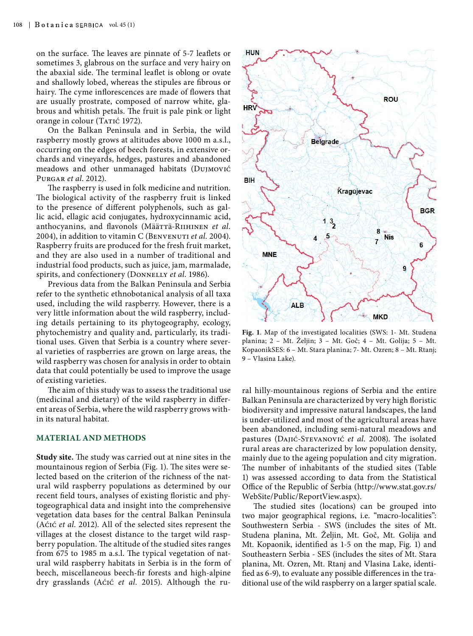on the surface. The leaves are pinnate of 5-7 leaflets or sometimes 3, glabrous on the surface and very hairy on the abaxial side. The terminal leaflet is oblong or ovate and shallowly lobed, whereas the stipules are fibrous or hairy. The cyme inflorescences are made of flowers that are usually prostrate, composed of narrow white, glabrous and whitish petals. The fruit is pale pink or light orange in colour (TATIĆ 1972).

On the Balkan Peninsula and in Serbia, the wild raspberry mostly grows at altitudes above 1000 m a.s.l., occurring on the edges of beech forests, in extensive orchards and vineyards, hedges, pastures and abandoned meadows and other unmanaged habitats (Dujmović Purgar *et al*. 2012).

The raspberry is used in folk medicine and nutrition. The biological activity of the raspberry fruit is linked to the presence of different polyphenols, such as gallic acid, ellagic acid conjugates, hydroxycinnamic acid, anthocyanins, and flavonols (Määttä-Riihinen *et al.* 2004), in addition to vitamin C (BENVENUTI *et al.* 2004). Raspberry fruits are produced for the fresh fruit market, and they are also used in a number of traditional and industrial food products, such as juice, jam, marmalade, spirits, and confectionery (DONNELLY et al. 1986).

Previous data from the Balkan Peninsula and Serbia refer to the synthetic ethnobotanical analysis of all taxa used, including the wild raspberry. However, there is a very little information about the wild raspberry, including details pertaining to its phytogeography, ecology, phytochemistry and quality and, particularly, its traditional uses. Given that Serbia is a country where several varieties of raspberries are grown on large areas, the wild raspberry was chosen for analysis in order to obtain data that could potentially be used to improve the usage of existing varieties.

The aim of this study was to assess the traditional use (medicinal and dietary) of the wild raspberry in different areas of Serbia, where the wild raspberry grows within its natural habitat.

#### **MATERIAL AND METHODS**

**Study site.** The study was carried out at nine sites in the mountainous region of Serbia (Fig. 1). The sites were selected based on the criterion of the richness of the natural wild raspberry populations as determined by our recent field tours, analyses of existing floristic and phytogeographical data and insight into the comprehensive vegetation data bases for the central Balkan Peninsula (Aćić *et al.* 2012). All of the selected sites represent the villages at the closest distance to the target wild raspberry population. The altitude of the studied sites ranges from 675 to 1985 m a.s.l. The typical vegetation of natural wild raspberry habitats in Serbia is in the form of beech, miscellaneous beech-fir forests and high-alpine dry grasslands (Aćić *et al.* 2015). Although the ru-



**Fig. 1**. Map of the investigated localities (SWS: 1- Mt. Studena planina; 2 – Mt. Željin; 3 – Mt. Goč; 4 – Mt. Golija; 5 – Mt. KopaonikSES: 6 – Mt. Stara planina; 7- Mt. Ozren; 8 – Mt. Rtanj; 9 – Vlasina Lake).

ral hilly-mountainous regions of Serbia and the entire Balkan Peninsula are characterized by very high floristic biodiversity and impressive natural landscapes, the land is under-utilized and most of the agricultural areas have been abandoned, including semi-natural meadows and pastures (Dajić-Stevanović *et al.* 2008). The isolated rural areas are characterized by low population density, mainly due to the ageing population and city migration. The number of inhabitants of the studied sites (Table 1) was assessed according to data from the Statistical Office of the Republic of Serbia ([http://www.stat.gov.rs/](http://www.stat.gov.rs/WebSite/Public/ReportView.aspx) [WebSite/Public/ReportView.aspx](http://www.stat.gov.rs/WebSite/Public/ReportView.aspx)).

The studied sites (locations) can be grouped into two major geographical regions, i.e. "macro-localities": Southwestern Serbia - SWS (includes the sites of Mt. Studena planina, Mt. Željin, Mt. Goč, Mt. Golija and Mt. Kopaonik, identified as 1-5 on the map, Fig. 1) and Southeastern Serbia - SES (includes the sites of Mt. Stara planina, Mt. Ozren, Mt. Rtanj and Vlasina Lake, identified as 6-9), to evaluate any possible differences in the traditional use of the wild raspberry on a larger spatial scale.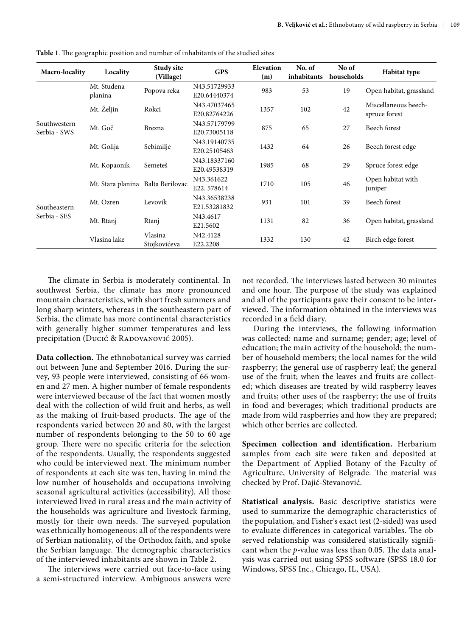| Macro-locality               | Locality                          | Study site<br>(Village) | <b>GPS</b>                   | Elevation<br>(m) | No. of<br>inhabitants | No of<br>households | <b>Habitat type</b>                   |
|------------------------------|-----------------------------------|-------------------------|------------------------------|------------------|-----------------------|---------------------|---------------------------------------|
|                              | Mt. Studena<br>planina            | Popova reka             | N43.51729933<br>E20.64440374 | 983              | 53                    | 19                  | Open habitat, grassland               |
|                              | Mt. Željin                        | Rokci                   | N43.47037465<br>E20.82764226 | 1357             | 102                   | 42                  | Miscellaneous beech-<br>spruce forest |
| Southwestern<br>Serbia - SWS | Mt. Goč                           | Brezna                  | N43.57179799<br>E20.73005118 | 875              | 65                    | 27                  | Beech forest                          |
|                              | Mt. Golija                        | Sebimilje               | N43.19140735<br>E20.25105463 | 1432             | 64                    | 26                  | Beech forest edge                     |
|                              | Mt. Kopaonik                      | Semeteš                 | N43.18337160<br>E20.49538319 | 1985             | 68                    | 29                  | Spruce forest edge                    |
|                              | Mt. Stara planina Balta Berilovac |                         | N43.361622<br>E22.578614     | 1710             | 105                   | 46                  | Open habitat with<br>juniper          |
| Southeastern                 | Mt. Ozren                         | Levovik                 | N43.36538238<br>E21.53281832 | 931              | 101                   | 39                  | Beech forest                          |
| Serbia - SES                 | Mt. Rtanj                         | Rtanj                   | N43.4617<br>E21.5602         | 1131             | 82                    | 36                  | Open habitat, grassland               |
|                              | Vlasina lake                      | Vlasina<br>Stojkovićeva | N42.4128<br>E22.2208         | 1332             | 130                   | 42                  | Birch edge forest                     |

**Table 1**. The geographic position and number of inhabitants of the studied sites

The climate in Serbia is moderately continental. In southwest Serbia, the climate has more pronounced mountain characteristics, with short fresh summers and long sharp winters, whereas in the southeastern part of Serbia, the climate has more continental characteristics with generally higher summer temperatures and less precipitation (Ducić & RADOVANOVIĆ 2005).

**Data collection.** The ethnobotanical survey was carried out between June and September 2016. During the survey, 93 people were interviewed, consisting of 66 women and 27 men. A higher number of female respondents were interviewed because of the fact that women mostly deal with the collection of wild fruit and herbs, as well as the making of fruit-based products. The age of the respondents varied between 20 and 80, with the largest number of respondents belonging to the 50 to 60 age group. There were no specific criteria for the selection of the respondents. Usually, the respondents suggested who could be interviewed next. The minimum number of respondents at each site was ten, having in mind the low number of households and occupations involving seasonal agricultural activities (accessibility). All those interviewed lived in rural areas and the main activity of the households was agriculture and livestock farming, mostly for their own needs. The surveyed population was ethnically homogeneous: all of the respondents were of Serbian nationality, of the Orthodox faith, and spoke the Serbian language. The demographic characteristics of the interviewed inhabitants are shown in Table 2.

The interviews were carried out face-to-face using a semi-structured interview. Ambiguous answers were

not recorded. The interviews lasted between 30 minutes and one hour. The purpose of the study was explained and all of the participants gave their consent to be interviewed. The information obtained in the interviews was recorded in a field diary.

During the interviews, the following information was collected: name and surname; gender; age; level of education; the main activity of the household; the number of household members; the local names for the wild raspberry; the general use of raspberry leaf; the general use of the fruit; when the leaves and fruits are collected; which diseases are treated by wild raspberry leaves and fruits; other uses of the raspberry; the use of fruits in food and beverages; which traditional products are made from wild raspberries and how they are prepared; which other berries are collected.

**Specimen collection and identification.** Herbarium samples from each site were taken and deposited at the Department of Applied Botany of the Faculty of Agriculture, University of Belgrade. The material was checked by Prof. Dajić-Stevanović.

**Statistical analysis.** Basic descriptive statistics were used to summarize the demographic characteristics of the population, and Fisher's exact test (2-sided) was used to evaluate differences in categorical variables. The observed relationship was considered statistically significant when the *p*-value was less than 0.05. The data analysis was carried out using SPSS software (SPSS 18.0 for Windows, SPSS Inc., Chicago, IL, USA).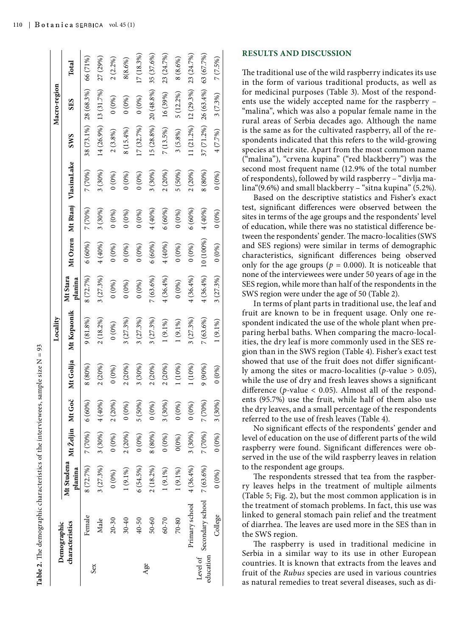**Table 2.** The demographic characteristics of the interviewees, sample size  $N = 93$ **Table 2.** The demographic characteristics of the interviewees, sample size N = 93

|                       |                                |                                        |                  |          |           | Locality    |                     |           |         |                               |              | Macro-region          |              |
|-----------------------|--------------------------------|----------------------------------------|------------------|----------|-----------|-------------|---------------------|-----------|---------|-------------------------------|--------------|-----------------------|--------------|
|                       | characteristics<br>Demographic | Mt Studena Mt Željin Mt Goč<br>planina |                  |          | Mt Golija | Mt Kopaonik | Mt Stara<br>planina |           |         | Mt Ozren Mt Rtanj VlasinaLake | <b>SWS</b>   | <b>SES</b>            | Total        |
|                       | Female                         | 8 (72.7%)                              | $7(70%)$ 6 (60%) |          | 8(80%)    | 9(81.8%)    | 8 (72.7%)           | 6(60%)    | 7 (70%) | 7 (70%)                       |              | 38 (73.1%) 28 (68.3%) | 66 (71%)     |
| Sex                   | Male                           | 3(27.3%)                               | 3(30%)           | 4 (40%)  | 2(20%)    | 2(18.2%)    | 3(27.3%)            | 4 (40%)   | 3(30%)  | 3(30%)                        | (4(26.9%)    | 13 (31.7%)            | 27 (29%)     |
|                       | $20 - 30$                      | $(0\%)$                                | $(0\%)$          | 2(20%)   | 0(0%)     | 0(0%)       | 0(0%)               | 0(0%)     | $(0\%)$ | 0(0%)                         | 2(3.8%)      | 0(0%)                 | 2(2.2%)      |
|                       | $30 - 40$                      | $(9.1\%)$                              | 2(20%)           | 0(0%)    | 2(20%)    | 3(27.3%)    | 0(0%)               | 0(0%)     | $(0\%)$ | 0(0%)                         | 8 (15.4%)    | $(0\%)$               | 8(8.6%)      |
|                       | 40-50                          | $6(54.5\%)$                            | $(0\%)$          | 5 (50%)  | 3(30%)    | $(27.3\%)$  | 0(0%)               | 0(0%)     | $(0\%)$ | $0(0\%)$                      | 17(32.7%)    | 0(0%)                 | $[7(18.3\%)$ |
| Age                   | 50-60                          | $2(18.2\%)$                            | 8 (80%)          | 0(0%)    | 2(20%)    | 3(27.3%)    | 7(63.6%)            | 6(60%)    | 4(40%)  | 3(30%)                        | $15(28.8\%)$ | 20 (48.8%)            | 35 (37.6%)   |
|                       | 60-70                          | $(9.1\%)$                              | 0(0%)            | 3(30%)   | 2(20%)    | $1(9.1\%)$  | 4(36.4%)            | 4(40%)    | 6(60%)  | 2(20%)                        | $7(13.5\%)$  | 16 (39%)              | 23 (24.7%)   |
|                       | 70-80                          | $(9.1\%)$                              | 0(0%)            | $0(0\%)$ | 1 (10%)   | $1(9.1\%)$  | 0(0%)               | 0(0%)     | 0(0%)   | 5 (50%)                       | 3(5.8%)      | 5 (12.2%)             | 8(8.6%)      |
|                       | Primary school                 | 4(36.4%)                               | 3(30%)           | $0(0\%)$ | 1 (10%)   | $(27.3\%)$  | 4(36.4%)            | 0(0%)     | 5(60%)  | 2(20%)                        | (1 (21.2%)   | $12(29.3\%)$          | 23 (24.7%)   |
| education<br>Level of | Secondary school               | $7(63.6\%)$                            | 7 (70%)          | 7 (70%)  | $(90\%)$  | $7(63.6\%)$ | 4(36.4%)            | 10 (100%) | 4(40%)  | 8 (80%)                       | 37 (71.2%)   | $26(63.4\%)$          | 63 (67.7%)   |
|                       | College                        | $(0\%)$                                | $(0\%)$          | 3(30%)   | $0(0\%)$  | $1(9.1\%)$  | 3 (27.3%)           | 0(0%)     | 0(0%)   | $(0\%)$                       | 4 (7.7%)     | 3(7.3%)               | 7(7.5%)      |

#### **RESULTS AND DISCUSSION**

The traditional use of the wild raspberry indicates its use in the form of various traditional products, as well as for medicinal purposes (Table 3). Most of the respond ents use the widely accepted name for the raspberry – "malina", which was also a popular female name in the rural areas of Serbia decades ago. Although the name is the same as for the cultivated raspberry, all of the re spondents indicated that this refers to the wild-growing species at their site. Apart from the most common name ("malina"), "crvena kupina" ("red blackberry") was the second most frequent name (12.9% of the total number of respondents), followed by wild raspberry – "divlja ma lina"(9.6%) and small blackberry – "sitna kupina" (5.2%).

Based on the descriptive statistics and Fisher's exact test, significant differences were observed between the sites in terms of the age groups and the respondents' level of education, while there was no statistical difference be tween the respondents' gender. The macro-localities (SWS and SES regions) were similar in terms of demographic characteristics, significant differences being observed only for the age groups ( $p = 0.000$ ). It is noticeable that none of the interviewees were under 50 years of age in the SES region, while more than half of the respondents in the SWS region were under the age of 50 (Table 2).

In terms of plant parts in traditional use, the leaf and fruit are known to be in frequent usage. Only one re spondent indicated the use of the whole plant when pre paring herbal baths. When comparing the macro-local ities, the dry leaf is more commonly used in the SES re gion than in the SWS region (Table 4). Fisher's exact test showed that use of the fruit does not differ significant ly among the sites or macro-localities ( *p*-value > 0.05), while the use of dry and fresh leaves shows a significant difference ( *p*-value < 0.05). Almost all of the respond ents (95.7%) use the fruit, while half of them also use the dry leaves, and a small percentage of the respondents referred to the use of fresh leaves (Table 4).

No significant effects of the respondents' gender and level of education on the use of different parts of the wild raspberry were found. Significant differences were ob served in the use of the wild raspberry leaves in relation to the respondent age groups.

The respondents stressed that tea from the raspber ry leaves helps in the treatment of multiple ailments (Table 5; Fig. 2), but the most common application is in the treatment of stomach problems. In fact, this use was linked to general stomach pain relief and the treatment of diarrhea. The leaves are used more in the SES than in the SWS region.

The raspberry is used in traditional medicine in Serbia in a similar way to its use in other European countries. It is known that extracts from the leaves and fruit of the *Rubus* species are used in various countries as natural remedies to treat several diseases, such as di -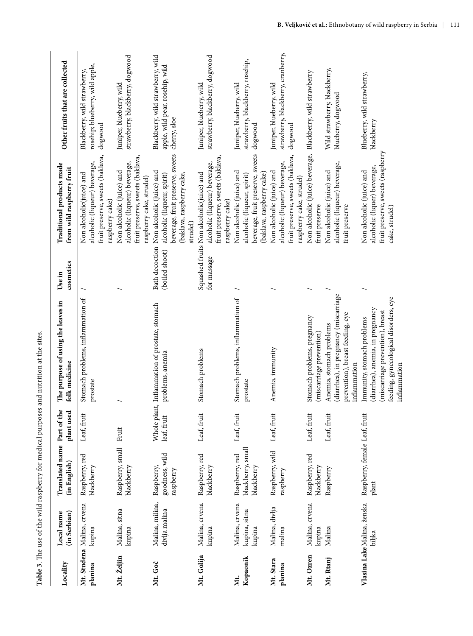| Locality             | Local name<br>(in Serbian)                | Translated name Part of the<br>(in English)       | plant used  | The purpose of using the leaves in<br>folk medicine                                                                                                         | cosmetics<br>Use in | Traditional products made<br>from wild raspberry fruit                                                                                               | Other fruits that are collected                                                      |
|----------------------|-------------------------------------------|---------------------------------------------------|-------------|-------------------------------------------------------------------------------------------------------------------------------------------------------------|---------------------|------------------------------------------------------------------------------------------------------------------------------------------------------|--------------------------------------------------------------------------------------|
| planina              | Mt. Studena Malina, crvena<br>kupina      | Raspberry, red<br>blackberry                      | Leaf, fruit | Stomach problems, inflammation of<br>prostate                                                                                                               |                     | fruit preserve, sweets (baklava,<br>alcoholic (liqueur) beverage,<br>Non alcoholic(juice) and<br>raspberry cake)                                     | rosehip; blueberry, wild apple,<br>Blackberry, wild strawberry,<br>dogwood           |
| Mt. Željin           | Malina, sitna<br>kupina                   | Raspberry, small Fruit<br>blackberry              |             |                                                                                                                                                             |                     | fruit preserve, sweets (baklava,<br>alcoholic (liqueur) beverage,<br>Non alcoholic (juice) and<br>raspberry cake, strudel)                           | strawberry, blackberry, dogwood<br>Juniper, blueberry, wild                          |
| Mt. Goč              | Malina, milina,<br>divlja malina          | goodness, wild<br>Raspberry,<br>raspberry         | leaf, fruit | Whole plant, Inflammation of prostate, stomach<br>problems, anemia                                                                                          | (boiled shoot)      | beverage, fruit preserve, sweets<br>Bath decoction Non alcoholic (juice) and<br>(baklava, raspberry cake,<br>alcoholic (liqueur, spirit)<br>strudel) | Blackberry, wild strawberry, wild<br>apple, wild pear, rosehip, wild<br>cherry, sloe |
| Mt. Golija           | Malina, crvena<br>kupina                  | Raspberry, red<br>blackberry                      | Leaf, fruit | Stomach problems                                                                                                                                            | for massage         | fruit preserve, sweets (baklava,<br>alcoholic (liqueur) beverage,<br>Squashed fruits Non alcoholic(juice) and<br>raspberry cake)                     | strawberry, blackberry, dogwood<br>Juniper, blueberry, wild                          |
| Kopaonik<br>Μt.      | Malina, crvena<br>kupina, sitna<br>kupina | blackberry, small<br>Raspberry, red<br>blackberry | Leaf, fruit | Stomach problems, inflammation of<br>prostate                                                                                                               |                     | beverage, fruit preserve, sweets<br>Non alcoholic (juice) and<br>(baklava, raspberry cake)<br>alcoholic (liqueur, spirit)                            | strawberry, blackberry, rosehip,<br>Juniper, blueberry, wild<br>dogwood              |
| Mt. Stara<br>planina | Malina, divlja<br>malina                  | Raspberry, wild<br>raspberry                      | Leaf, fruit | Anemia, immunity                                                                                                                                            |                     | fruit preserve, sweets (baklava,<br>alcoholic (liqueur) beverage,<br>Non alcoholic (juice) and<br>raspberry cake, strudel)                           | strawberry, blackberry, cranberry,<br>Juniper, blueberry, wild<br>$\rm dogwood$      |
| Mt. Ozren            | Malina, crvena<br>kupina                  | Raspberry, red<br>blackberry                      | Leaf, fruit | Stomach problems, pregnancy<br>(miscarriage prevention)                                                                                                     |                     | Non alcoholic (juice) beverage,<br>fruit preserve                                                                                                    | Blackberry, wild strawberry                                                          |
| Mt. Rtanj            | Malina                                    | Raspberry                                         | Leaf, fruit | (diarrhea), in pregnancy (miscarriage<br>prevention), breast feeding, eye<br>Anemia, stomach problems<br>inflammation                                       |                     | alcoholic (liqueur) beverage,<br>Non alcoholic (juice) and<br>fruit preserve                                                                         | Wild strawberry, blackberry,<br>blueberry, dogwood                                   |
|                      | Vlasina Lake Malina, ženska<br>biljka     | Raspberry, female Leaf, fruit<br>plant            |             | feeding, gynecological disorders, eye<br>(diarrhea), anemia, in pregnancy<br>(miscarriage prevention), breast<br>Immunity, stomach problems<br>inflammation |                     | fruit preserve, sweets (raspberry<br>alcoholic (liquer) beverage,<br>Non alcoholic (juice) and<br>cake, strudel)                                     | Blueberry, wild strawberry,<br>blackberry                                            |

Table 3. The use of the wild raspberry for medical purposes and nutrition at the sites. **Table 3**. The use of the wild raspberry for medical purposes and nutrition at the sites.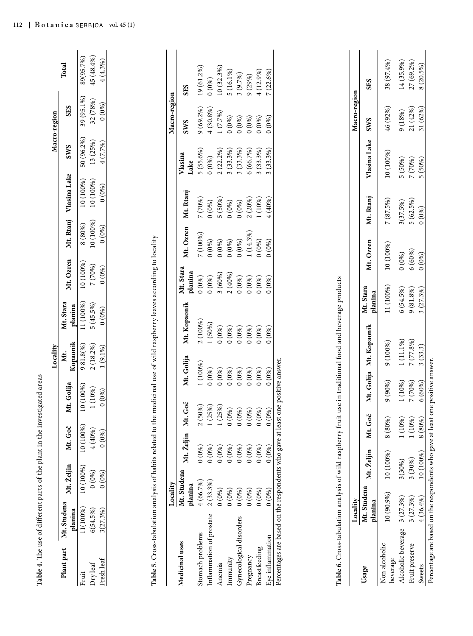| 4(4.3%)<br>27 (69.2%)<br>38 (97.4%)<br>14 (35.9%)<br>Total<br>8 (20.5%)<br>10 (32.3%)<br>$19(61.2\%)$<br>4(12.9%)<br>$5(16.1\%)$<br>$7(22.6\%)$<br>3(9.7%)<br>9(29%)<br>0(0%)<br>SES<br>SES<br>Macro-region<br>Macro-region<br>39 (95.1%)<br>32 (78%)<br>0(0%)<br>SES<br>46 (92%)<br>21 (42%)<br>31 (62%)<br>$9(69.2\%)$<br>$4(30.8\%)$<br>9(18%)<br>1(7.7%)<br>0(0%)<br>0(0%)<br>0(0%)<br>0(0%)<br>0(0%)<br><b>SWS</b><br><b>SWS</b><br>50 (96.2%)<br>Vlasina Lake<br>13 (25%)<br>4 (7.7%)<br><b>SWS</b><br>$2(22.2\%)$<br>3(33.3%)<br>$5(55.6\%)$<br>3(33.3%)<br>3(33.3%)<br>6(66.7%)<br>3(33.3%)<br>10 (100%)<br>Vlasina<br>0(0%)<br>5 (50%)<br>7 (70%)<br>5 (50%)<br>Lake<br>Vlasina Lake<br>10 (100%)<br>10 (100%)<br>$(0\%)$<br>Mt. Rtanj<br>2(20%)<br>1 (10%)<br>Mt. Rtanj<br>5 (50%)<br>4(40%)<br>7 (70%)<br>$5(62.5\%)$<br>7(87.5%)<br>0(0%)<br>3(37.5%)<br>0(0%)<br>$0(0\%)$<br>0(0%)<br>Mt. Rtanj<br>10 (100%)<br>8(80%)<br>(0.66)<br>Mt. Ozren<br>$1(14.3\%)$<br>7 (100%)<br>Table 5. Cross-tabulation analysis of habits related to the medicinal use of wild raspberry leaves according to locality<br>(0.096)<br>0(0%)<br>0(0%)<br>0(0%)<br>0(0%)<br>0(0%)<br>Mt. Ozren<br>10 (100%)<br>6(60%)<br>0(0%)<br>0(0%)<br>Mt. Ozren<br>10 (100%)<br>7 (70%)<br>$0(0\%)$<br>Mt. Stara<br>planina<br>3(60%)<br>2(40%)<br>0(0%)<br>0(0%)<br>0(0%)<br>0(0%)<br>0(0%)<br>0(0%)<br>se in traditional food and beverage products<br>11 (100%)<br>Mt. Stara<br>6(54.5%)<br>$9(81.8\%)$<br>3(27.3%)<br>planina<br>11 (100%)<br>Mt. Stara<br>$5(45.5\%)$<br>Mt. Kopaonik<br>planina<br>0(0%)<br>2 (100%)<br>1 (50%)<br>Mt. Kopaonik<br>0(0%)<br>0(0%)<br>0(0%)<br>0(0%)<br>0(0%)<br>0(0%)<br>1(11.1%)<br>7 (77.8%)<br>9(100%)<br>Kopaonik<br>981.8(%)<br>$2(18.2\%)$<br>3(33.3)<br>$1(9.1\%)$<br>Xt.<br>Mt. Golija<br>Percentages are based on the respondents who gave at least one positive answer.<br>1 (100%)<br>0(0%)<br>0(0%)<br>0(0%)<br>0(0%)<br>$0(0\%)$<br>0(0%)<br>0(0%)<br>Mt. Golija<br>1 (10%)<br>9(90%)<br>7 (70%)<br>6(60%)<br>Mt. Golija<br>0(100%)<br>1(10%)<br>0(0%<br>Mt. Goč<br>$2(50%)$<br>1 (25%)<br>1 (25%)<br>0(0%)<br>0(0%)<br>0(0%)<br>0(0%)<br>0(0%)<br>Table 6. Cross-tabulation analysis of wild raspberry fruit u<br>Mt. Goč<br>1 (10%)<br>1 (10%)<br>8 (80%)<br>8 (80%)<br>10 (100%)<br>Mt. Goč<br>4(40%)<br>(0.66)<br>Mt. Željin<br>0(0%)<br>0(0%)<br>0(0%)<br>0(0%)<br>0(0%)<br>$0(0\%)$<br>0(0%)<br>0(0%)<br>Mt. Željin<br>10 (100%)<br>10 (100%)<br>3(30%)<br>3(30%)<br>Mt. Željin<br>10 (100%)<br>Mt. Studena<br>0(0%)<br>(0.66)<br>2(33.3%)<br>4(66.7%)<br>Locality<br>planina<br>Mt. Studena<br>0(0%)<br>0(0%)<br>0(0%)<br>0(0%)<br>0(0%)<br>0(0%)<br>10 (90.9%)<br>3(27.3%)<br>3(27.3%)<br>4(36.4%)<br>Locality<br>planina<br>Mt. Studena<br>11(100%)<br>3(27.3%)<br>6(54.5%)<br>planina<br>Inflammation of prostate<br>Gynecological disorders<br>Alcoholic beverage<br>Stomach problems<br>Eye inflammation<br>Medicinal uses<br>Fruit preserve<br>Non alcoholic<br>Breastfeeding<br>Plant part<br>Pregnancy<br>Immunity<br>Fresh leaf<br>beverage<br>Dry leaf<br>Anemia<br>Sweets<br>Usage<br>Fruit |  |  |  |  |  |  |            |
|-----------------------------------------------------------------------------------------------------------------------------------------------------------------------------------------------------------------------------------------------------------------------------------------------------------------------------------------------------------------------------------------------------------------------------------------------------------------------------------------------------------------------------------------------------------------------------------------------------------------------------------------------------------------------------------------------------------------------------------------------------------------------------------------------------------------------------------------------------------------------------------------------------------------------------------------------------------------------------------------------------------------------------------------------------------------------------------------------------------------------------------------------------------------------------------------------------------------------------------------------------------------------------------------------------------------------------------------------------------------------------------------------------------------------------------------------------------------------------------------------------------------------------------------------------------------------------------------------------------------------------------------------------------------------------------------------------------------------------------------------------------------------------------------------------------------------------------------------------------------------------------------------------------------------------------------------------------------------------------------------------------------------------------------------------------------------------------------------------------------------------------------------------------------------------------------------------------------------------------------------------------------------------------------------------------------------------------------------------------------------------------------------------------------------------------------------------------------------------------------------------------------------------------------------------------------------------------------------------------------------------------------------------------------------------------------------------------------------------------------------------------------------------------------------------------------------------------------------------------------------------------------------------------------------------------------------------------------------------------------------------------------------------------------------------------------------------------------------------------------------------------------------|--|--|--|--|--|--|------------|
|                                                                                                                                                                                                                                                                                                                                                                                                                                                                                                                                                                                                                                                                                                                                                                                                                                                                                                                                                                                                                                                                                                                                                                                                                                                                                                                                                                                                                                                                                                                                                                                                                                                                                                                                                                                                                                                                                                                                                                                                                                                                                                                                                                                                                                                                                                                                                                                                                                                                                                                                                                                                                                                                                                                                                                                                                                                                                                                                                                                                                                                                                                                                               |  |  |  |  |  |  |            |
|                                                                                                                                                                                                                                                                                                                                                                                                                                                                                                                                                                                                                                                                                                                                                                                                                                                                                                                                                                                                                                                                                                                                                                                                                                                                                                                                                                                                                                                                                                                                                                                                                                                                                                                                                                                                                                                                                                                                                                                                                                                                                                                                                                                                                                                                                                                                                                                                                                                                                                                                                                                                                                                                                                                                                                                                                                                                                                                                                                                                                                                                                                                                               |  |  |  |  |  |  | 89(95.7%)  |
|                                                                                                                                                                                                                                                                                                                                                                                                                                                                                                                                                                                                                                                                                                                                                                                                                                                                                                                                                                                                                                                                                                                                                                                                                                                                                                                                                                                                                                                                                                                                                                                                                                                                                                                                                                                                                                                                                                                                                                                                                                                                                                                                                                                                                                                                                                                                                                                                                                                                                                                                                                                                                                                                                                                                                                                                                                                                                                                                                                                                                                                                                                                                               |  |  |  |  |  |  | 45 (48.4%) |
|                                                                                                                                                                                                                                                                                                                                                                                                                                                                                                                                                                                                                                                                                                                                                                                                                                                                                                                                                                                                                                                                                                                                                                                                                                                                                                                                                                                                                                                                                                                                                                                                                                                                                                                                                                                                                                                                                                                                                                                                                                                                                                                                                                                                                                                                                                                                                                                                                                                                                                                                                                                                                                                                                                                                                                                                                                                                                                                                                                                                                                                                                                                                               |  |  |  |  |  |  |            |
|                                                                                                                                                                                                                                                                                                                                                                                                                                                                                                                                                                                                                                                                                                                                                                                                                                                                                                                                                                                                                                                                                                                                                                                                                                                                                                                                                                                                                                                                                                                                                                                                                                                                                                                                                                                                                                                                                                                                                                                                                                                                                                                                                                                                                                                                                                                                                                                                                                                                                                                                                                                                                                                                                                                                                                                                                                                                                                                                                                                                                                                                                                                                               |  |  |  |  |  |  |            |
|                                                                                                                                                                                                                                                                                                                                                                                                                                                                                                                                                                                                                                                                                                                                                                                                                                                                                                                                                                                                                                                                                                                                                                                                                                                                                                                                                                                                                                                                                                                                                                                                                                                                                                                                                                                                                                                                                                                                                                                                                                                                                                                                                                                                                                                                                                                                                                                                                                                                                                                                                                                                                                                                                                                                                                                                                                                                                                                                                                                                                                                                                                                                               |  |  |  |  |  |  |            |
|                                                                                                                                                                                                                                                                                                                                                                                                                                                                                                                                                                                                                                                                                                                                                                                                                                                                                                                                                                                                                                                                                                                                                                                                                                                                                                                                                                                                                                                                                                                                                                                                                                                                                                                                                                                                                                                                                                                                                                                                                                                                                                                                                                                                                                                                                                                                                                                                                                                                                                                                                                                                                                                                                                                                                                                                                                                                                                                                                                                                                                                                                                                                               |  |  |  |  |  |  |            |
|                                                                                                                                                                                                                                                                                                                                                                                                                                                                                                                                                                                                                                                                                                                                                                                                                                                                                                                                                                                                                                                                                                                                                                                                                                                                                                                                                                                                                                                                                                                                                                                                                                                                                                                                                                                                                                                                                                                                                                                                                                                                                                                                                                                                                                                                                                                                                                                                                                                                                                                                                                                                                                                                                                                                                                                                                                                                                                                                                                                                                                                                                                                                               |  |  |  |  |  |  |            |
|                                                                                                                                                                                                                                                                                                                                                                                                                                                                                                                                                                                                                                                                                                                                                                                                                                                                                                                                                                                                                                                                                                                                                                                                                                                                                                                                                                                                                                                                                                                                                                                                                                                                                                                                                                                                                                                                                                                                                                                                                                                                                                                                                                                                                                                                                                                                                                                                                                                                                                                                                                                                                                                                                                                                                                                                                                                                                                                                                                                                                                                                                                                                               |  |  |  |  |  |  |            |
|                                                                                                                                                                                                                                                                                                                                                                                                                                                                                                                                                                                                                                                                                                                                                                                                                                                                                                                                                                                                                                                                                                                                                                                                                                                                                                                                                                                                                                                                                                                                                                                                                                                                                                                                                                                                                                                                                                                                                                                                                                                                                                                                                                                                                                                                                                                                                                                                                                                                                                                                                                                                                                                                                                                                                                                                                                                                                                                                                                                                                                                                                                                                               |  |  |  |  |  |  |            |
|                                                                                                                                                                                                                                                                                                                                                                                                                                                                                                                                                                                                                                                                                                                                                                                                                                                                                                                                                                                                                                                                                                                                                                                                                                                                                                                                                                                                                                                                                                                                                                                                                                                                                                                                                                                                                                                                                                                                                                                                                                                                                                                                                                                                                                                                                                                                                                                                                                                                                                                                                                                                                                                                                                                                                                                                                                                                                                                                                                                                                                                                                                                                               |  |  |  |  |  |  |            |
|                                                                                                                                                                                                                                                                                                                                                                                                                                                                                                                                                                                                                                                                                                                                                                                                                                                                                                                                                                                                                                                                                                                                                                                                                                                                                                                                                                                                                                                                                                                                                                                                                                                                                                                                                                                                                                                                                                                                                                                                                                                                                                                                                                                                                                                                                                                                                                                                                                                                                                                                                                                                                                                                                                                                                                                                                                                                                                                                                                                                                                                                                                                                               |  |  |  |  |  |  |            |
|                                                                                                                                                                                                                                                                                                                                                                                                                                                                                                                                                                                                                                                                                                                                                                                                                                                                                                                                                                                                                                                                                                                                                                                                                                                                                                                                                                                                                                                                                                                                                                                                                                                                                                                                                                                                                                                                                                                                                                                                                                                                                                                                                                                                                                                                                                                                                                                                                                                                                                                                                                                                                                                                                                                                                                                                                                                                                                                                                                                                                                                                                                                                               |  |  |  |  |  |  |            |
|                                                                                                                                                                                                                                                                                                                                                                                                                                                                                                                                                                                                                                                                                                                                                                                                                                                                                                                                                                                                                                                                                                                                                                                                                                                                                                                                                                                                                                                                                                                                                                                                                                                                                                                                                                                                                                                                                                                                                                                                                                                                                                                                                                                                                                                                                                                                                                                                                                                                                                                                                                                                                                                                                                                                                                                                                                                                                                                                                                                                                                                                                                                                               |  |  |  |  |  |  |            |
|                                                                                                                                                                                                                                                                                                                                                                                                                                                                                                                                                                                                                                                                                                                                                                                                                                                                                                                                                                                                                                                                                                                                                                                                                                                                                                                                                                                                                                                                                                                                                                                                                                                                                                                                                                                                                                                                                                                                                                                                                                                                                                                                                                                                                                                                                                                                                                                                                                                                                                                                                                                                                                                                                                                                                                                                                                                                                                                                                                                                                                                                                                                                               |  |  |  |  |  |  |            |
|                                                                                                                                                                                                                                                                                                                                                                                                                                                                                                                                                                                                                                                                                                                                                                                                                                                                                                                                                                                                                                                                                                                                                                                                                                                                                                                                                                                                                                                                                                                                                                                                                                                                                                                                                                                                                                                                                                                                                                                                                                                                                                                                                                                                                                                                                                                                                                                                                                                                                                                                                                                                                                                                                                                                                                                                                                                                                                                                                                                                                                                                                                                                               |  |  |  |  |  |  |            |
|                                                                                                                                                                                                                                                                                                                                                                                                                                                                                                                                                                                                                                                                                                                                                                                                                                                                                                                                                                                                                                                                                                                                                                                                                                                                                                                                                                                                                                                                                                                                                                                                                                                                                                                                                                                                                                                                                                                                                                                                                                                                                                                                                                                                                                                                                                                                                                                                                                                                                                                                                                                                                                                                                                                                                                                                                                                                                                                                                                                                                                                                                                                                               |  |  |  |  |  |  |            |
|                                                                                                                                                                                                                                                                                                                                                                                                                                                                                                                                                                                                                                                                                                                                                                                                                                                                                                                                                                                                                                                                                                                                                                                                                                                                                                                                                                                                                                                                                                                                                                                                                                                                                                                                                                                                                                                                                                                                                                                                                                                                                                                                                                                                                                                                                                                                                                                                                                                                                                                                                                                                                                                                                                                                                                                                                                                                                                                                                                                                                                                                                                                                               |  |  |  |  |  |  |            |
|                                                                                                                                                                                                                                                                                                                                                                                                                                                                                                                                                                                                                                                                                                                                                                                                                                                                                                                                                                                                                                                                                                                                                                                                                                                                                                                                                                                                                                                                                                                                                                                                                                                                                                                                                                                                                                                                                                                                                                                                                                                                                                                                                                                                                                                                                                                                                                                                                                                                                                                                                                                                                                                                                                                                                                                                                                                                                                                                                                                                                                                                                                                                               |  |  |  |  |  |  |            |
|                                                                                                                                                                                                                                                                                                                                                                                                                                                                                                                                                                                                                                                                                                                                                                                                                                                                                                                                                                                                                                                                                                                                                                                                                                                                                                                                                                                                                                                                                                                                                                                                                                                                                                                                                                                                                                                                                                                                                                                                                                                                                                                                                                                                                                                                                                                                                                                                                                                                                                                                                                                                                                                                                                                                                                                                                                                                                                                                                                                                                                                                                                                                               |  |  |  |  |  |  |            |
|                                                                                                                                                                                                                                                                                                                                                                                                                                                                                                                                                                                                                                                                                                                                                                                                                                                                                                                                                                                                                                                                                                                                                                                                                                                                                                                                                                                                                                                                                                                                                                                                                                                                                                                                                                                                                                                                                                                                                                                                                                                                                                                                                                                                                                                                                                                                                                                                                                                                                                                                                                                                                                                                                                                                                                                                                                                                                                                                                                                                                                                                                                                                               |  |  |  |  |  |  |            |
|                                                                                                                                                                                                                                                                                                                                                                                                                                                                                                                                                                                                                                                                                                                                                                                                                                                                                                                                                                                                                                                                                                                                                                                                                                                                                                                                                                                                                                                                                                                                                                                                                                                                                                                                                                                                                                                                                                                                                                                                                                                                                                                                                                                                                                                                                                                                                                                                                                                                                                                                                                                                                                                                                                                                                                                                                                                                                                                                                                                                                                                                                                                                               |  |  |  |  |  |  |            |
|                                                                                                                                                                                                                                                                                                                                                                                                                                                                                                                                                                                                                                                                                                                                                                                                                                                                                                                                                                                                                                                                                                                                                                                                                                                                                                                                                                                                                                                                                                                                                                                                                                                                                                                                                                                                                                                                                                                                                                                                                                                                                                                                                                                                                                                                                                                                                                                                                                                                                                                                                                                                                                                                                                                                                                                                                                                                                                                                                                                                                                                                                                                                               |  |  |  |  |  |  |            |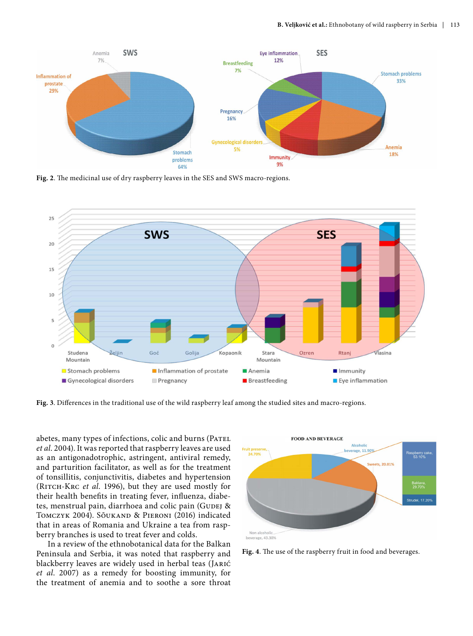

**Fig. 2**. The medicinal use of dry raspberry leaves in the SES and SWS macro-regions.



**Fig. 3**. Differences in the traditional use of the wild raspberry leaf among the studied sites and macro-regions.

abetes, many types of infections, colic and burns (PATEL *et al*. 2004). It was reported that raspberry leaves are used as an antigonadotrophic, astringent, antiviral remedy, and parturition facilitator, as well as for the treatment of tonsillitis, conjunctivitis, diabetes and hypertension (Ritch-Krc *et al*. 1996), but they are used mostly for their health benefits in treating fever, influenza, diabetes, menstrual pain, diarrhoea and colic pain (GUDEJ & Tomczyk 2004). Sõukand & Pieroni (2016) indicated that in areas of Romania and Ukraine a tea from raspberry branches is used to treat fever and colds.

In a review of the ethnobotanical data for the Balkan Peninsula and Serbia, it was noted that raspberry and blackberry leaves are widely used in herbal teas (Jarić *et al*. 2007) as a remedy for boosting immunity, for the treatment of anemia and to soothe a sore throat



**Fig. 4**. The use of the raspberry fruit in food and beverages.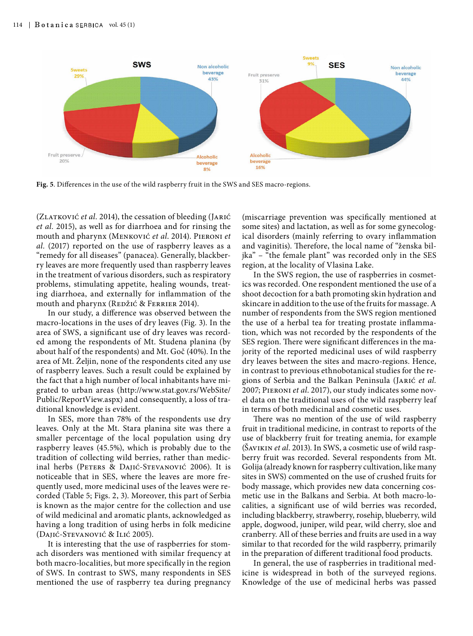

**Fig. 5**. Differences in the use of the wild raspberry fruit in the SWS and SES macro-regions.

(ZLATKOVIĆ et al. 2014), the cessation of bleeding (JARIĆ *et al.* 2015), as well as for diarrhoea and for rinsing the mouth and pharynx (Menković *et al*. 2014). Pieroni *et al.* (2017) reported on the use of raspberry leaves as a "remedy for all diseases" (panacea). Generally, blackberry leaves are more frequently used than raspberry leaves in the treatment of various disorders, such as respiratory problems, stimulating appetite, healing wounds, treating diarrhoea, and externally for inflammation of the mouth and pharynx (REDŽIĆ & FERRIER 2014).

In our study, a difference was observed between the macro-locations in the uses of dry leaves (Fig. 3). In the area of SWS, a significant use of dry leaves was recorded among the respondents of Mt. Studena planina (by about half of the respondents) and Mt. Goč (40%). In the area of Mt. Željin, none of the respondents cited any use of raspberry leaves. Such a result could be explained by the fact that a high number of local inhabitants have migrated to urban areas ([http://www.stat.gov.rs/WebSite/](http://www.stat.gov.rs/WebSite/Public/ReportView.aspx) [Public/ReportView.aspx\)](http://www.stat.gov.rs/WebSite/Public/ReportView.aspx) and consequently, a loss of traditional knowledge is evident.

In SES, more than 78% of the respondents use dry leaves. Only at the Mt. Stara planina site was there a smaller percentage of the local population using dry raspberry leaves (45.5%), which is probably due to the tradition of collecting wild berries, rather than medicinal herbs (Peters & Dajić-Stevanović 2006). It is noticeable that in SES, where the leaves are more frequently used, more medicinal uses of the leaves were recorded (Table 5; Figs. 2, 3). Moreover, this part of Serbia is known as the major centre for the collection and use of wild medicinal and aromatic plants, acknowledged as having a long tradition of using herbs in folk medicine (Dajić-Stevanović & Ilić 2005).

It is interesting that the use of raspberries for stomach disorders was mentioned with similar frequency at both macro-localities, but more specifically in the region of SWS. In contrast to SWS, many respondents in SES mentioned the use of raspberry tea during pregnancy

(miscarriage prevention was specifically mentioned at some sites) and lactation, as well as for some gynecological disorders (mainly referring to ovary inflammation and vaginitis). Therefore, the local name of "ženska biljka" – "the female plant" was recorded only in the SES region, at the locality of Vlasina Lake.

In the SWS region, the use of raspberries in cosmetics was recorded. One respondent mentioned the use of a shoot decoction for a bath promoting skin hydration and skincare in addition to the use of the fruits for massage. A number of respondents from the SWS region mentioned the use of a herbal tea for treating prostate inflammation, which was not recorded by the respondents of the SES region. There were significant differences in the majority of the reported medicinal uses of wild raspberry dry leaves between the sites and macro-regions. Hence, in contrast to previous ethnobotanical studies for the regions of Serbia and the Balkan Peninsula (Jarić *et al.* 2007; Pieroni *et al*. 2017), our study indicates some novel data on the traditional uses of the wild raspberry leaf in terms of both medicinal and cosmetic uses.

There was no mention of the use of wild raspberry fruit in traditional medicine, in contrast to reports of the use of blackberry fruit for treating anemia, for example (Šavikin *et al*. 2013). In SWS, a cosmetic use of wild raspberry fruit was recorded. Several respondents from Mt. Golija (already known for raspberry cultivation, like many sites in SWS) commented on the use of crushed fruits for body massage, which provides new data concerning cosmetic use in the Balkans and Serbia. At both macro-localities, a significant use of wild berries was recorded, including blackberry, strawberry, rosehip, blueberry, wild apple, dogwood, juniper, wild pear, wild cherry, sloe and cranberry. All of these berries and fruits are used in a way similar to that recorded for the wild raspberry, primarily in the preparation of different traditional food products.

In general, the use of raspberries in traditional medicine is widespread in both of the surveyed regions. Knowledge of the use of medicinal herbs was passed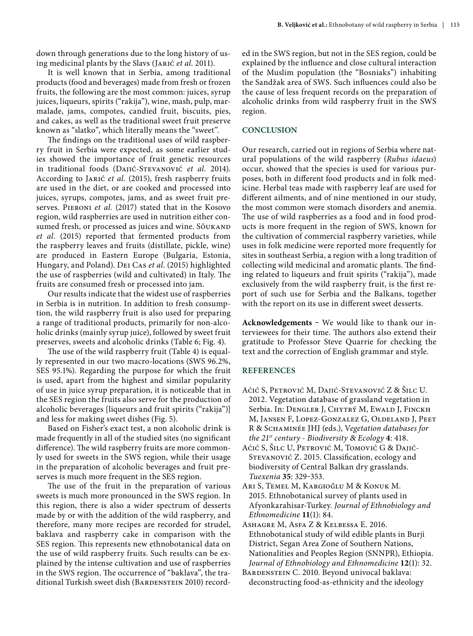down through generations due to the long history of using medicinal plants by the Slavs (Jarić *et al*. 2011).

It is well known that in Serbia, among traditional products (food and beverages) made from fresh or frozen fruits, the following are the most common: juices, syrup juices, liqueurs, spirits ("rakija"), wine, mash, pulp, marmalade, jams, compotes, candied fruit, biscuits, pies, and cakes, as well as the traditional sweet fruit preserve known as "slatko", which literally means the "sweet".

The findings on the traditional uses of wild raspberry fruit in Serbia were expected, as some earlier studies showed the importance of fruit genetic resources in traditional foods (Dajić-Stevanović *et al.* 2014). According to Jarić *et al.* (2015), fresh raspberry fruits are used in the diet, or are cooked and processed into juices, syrups, compotes, jams, and as sweet fruit preserves. PIERONI *et al.* (2017) stated that in the Kosovo region, wild raspberries are used in nutrition either consumed fresh, or processed as juices and wine. Sõukand *et al.* (2015) reported that fermented products from the raspberry leaves and fruits (distillate, pickle, wine) are produced in Eastern Europe (Bulgaria, Estonia, Hungary, and Poland). Dei Cas *et al*. (2015) highlighted the use of raspberries (wild and cultivated) in Italy. The fruits are consumed fresh or processed into jam.

Our results indicate that the widest use of raspberries in Serbia is in nutrition. In addition to fresh consumption, the wild raspberry fruit is also used for preparing a range of traditional products, primarily for non-alcoholic drinks (mainly syrup juice), followed by sweet fruit preserves, sweets and alcoholic drinks (Table 6; Fig. 4).

The use of the wild raspberry fruit (Table 4) is equally represented in our two macro-locations (SWS 96.2%, SES 95.1%). Regarding the purpose for which the fruit is used, apart from the highest and similar popularity of use in juice syrup preparation, it is noticeable that in the SES region the fruits also serve for the production of alcoholic beverages [liqueurs and fruit spirits ("rakija")] and less for making sweet dishes (Fig. 5).

Based on Fisher's exact test, a non alcoholic drink is made frequently in all of the studied sites (no significant difference). The wild raspberry fruits are more commonly used for sweets in the SWS region, while their usage in the preparation of alcoholic beverages and fruit preserves is much more frequent in the SES region.

The use of the fruit in the preparation of various sweets is much more pronounced in the SWS region. In this region, there is also a wider spectrum of desserts made by or with the addition of the wild raspberry, and therefore, many more recipes are recorded for strudel, baklava and raspberry cake in comparison with the SES region. This represents new ethnobotanical data on the use of wild raspberry fruits. Such results can be explained by the intense cultivation and use of raspberries in the SWS region. The occurrence of "baklava", the traditional Turkish sweet dish (BARDENSTEIN 2010) recorded in the SWS region, but not in the SES region, could be explained by the influence and close cultural interaction of the Muslim population (the "Bosniaks") inhabiting the Sandžak area of SWS. Such influences could also be the cause of less frequent records on the preparation of alcoholic drinks from wild raspberry fruit in the SWS region.

#### **CONCLUSION**

Our research, carried out in regions of Serbia where natural populations of the wild raspberry (*Rubus idaeus*) occur, showed that the species is used for various purposes, both in different food products and in folk medicine. Herbal teas made with raspberry leaf are used for different ailments, and of nine mentioned in our study, the most common were stomach disorders and anemia. The use of wild raspberries as a food and in food products is more frequent in the region of SWS, known for the cultivation of commercial raspberry varieties, while uses in folk medicine were reported more frequently for sites in southeast Serbia, a region with a long tradition of collecting wild medicinal and aromatic plants. The finding related to liqueurs and fruit spirits ("rakija"), made exclusively from the wild raspberry fruit, is the first report of such use for Serbia and the Balkans, together with the report on its use in different sweet desserts.

Acknowledgements - We would like to thank our interviewees for their time. The authors also extend their gratitude to Professor Steve Quarrie for checking the text and the correction of English grammar and style.

#### **REFERENCES**

- Aćić S, Petrović M, Dajić-Stevanović Z & Šilc U. 2012. Vegetation database of grassland vegetation in Serbia. In: DENGLER J, CHYTRÝ M, EWALD J, FINCKH M, Jansen F, Lopez-Gonzalez G, Oldeland J, Peet R & Schaminée JHJ (eds.), V*egetation databases for the 21st century - Biodiversity* & *Ecology* **4**: 418.
- Aćić S, Šilc U, Petrović M, Tomović G & Dajić-Stevanović Z. 2015. Classification, ecology and biodiversity of Central Balkan dry grasslands. *Tuexenia* **35**: 329‒353.
- Arı S, Temel M, Kargıoğlu M & Konuk M. 2015. Ethnobotanical survey of plants used in Afyonkarahisar-Turkey. *Journal of Ethnobiology and Ethnomedicine* **11**(1): 84.
- Ashagre M, Asfa Z & Kelbessa E. 2016. Ethnobotanical study of wild edible plants in Burji District, Segan Area Zone of Southern Nations, Nationalities and Peoples Region (SNNPR), Ethiopia. *Journal of Ethnobiology and Ethnomedicine* **12**(1): 32.
- BARDENSTEIN C. 2010. Beyond univocal baklava: deconstructing food-as-ethnicity and the ideology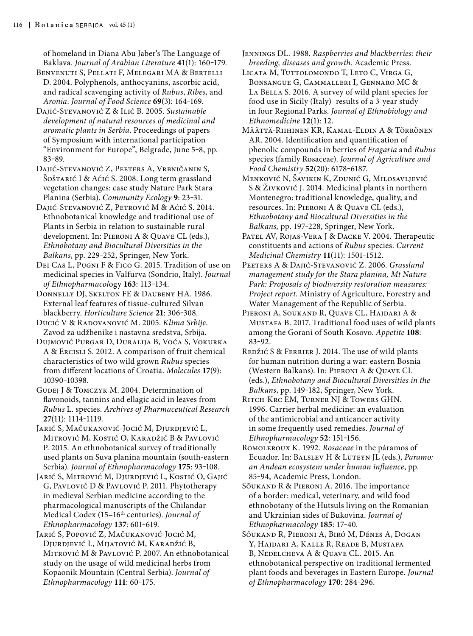of homeland in Diana Abu Jaber's The Language of Baklava. *Journal of Arabian Literature* 41(1): 160-179.

- Benvenuti S, Pellati F, Melegari MA & Bertelli D. 2004. Polyphenols, anthocyanins, ascorbic acid, and radical scavenging activity of *Rubus*, *Ribes*, and *Aronia*. *Journal of Food Science* **69**(3): 164‒169.
- Dajić-Stevanović Z & Ilić B. 2005. *Sustainable development of natural resources of medicinal and aromatic plants in Serbia*. Proceedings of papers of Symposium with international participation "Environment for Europe", Belgrade, June 5‒8, pp. 83-89.
- Dajić-Stevanović Z, Peeters A, Vrbničanin S, Šoštarić I & Aćić S. 2008. Long term grassland vegetation changes: case study Nature Park Stara Planina (Serbia). *Community Ecology* 9: 23-31.
- Dajić-Stevanović Z, Petrović M & Aćić S. 2014. Ethnobotanical knowledge and traditional use of Plants in Serbia in relation to sustainable rural development. In: Pieroni A & Quave CL (eds.), *Ethnobotany and Biocultural Diversities in the Balkans*, pp. 229‒252, Springer, New York.
- Dei Cas L, Pugni F & Fico G. 2015. Tradition of use on medicinal species in Valfurva (Sondrio, Italy). *Journal of Ethnopharmacol*ogy **163**: 113‒134.
- Donnelly DJ, Skelton FE & Daubeny HA. 1986. External leaf features of tissue-cultured Silvan blackberry. *Horticulture Science* **21**: 306‒308.
- Ducić V & Radovanović M. 2005. *Klima Srbije*. Zavod za udžbenike i nastavna sredstva, Srbija.
- Dujmović Purgar D, Duralija B, Voća S, Vokurka A & Ercisli S. 2012. A comparison of fruit chemical characteristics of two wild grown *Rubus* species from different locations of Croatia. *Molecules* **17**(9): 10390‒10398.
- GUDEJ J & TOMCZYK M. 2004. Determination of flavonoids, tannins and ellagic acid in leaves from *Rubus* L. species. *Archives of Pharmaceutical Research* **27**(11): 1114‒1119.
- Jarić S, Mačukanović-Jocić M, Djurdjević L, Mitrović M, Kostić O, Karadžić B & Pavlović P. 2015. An ethnobotanical survey of traditionally used plants on Suva planina mountain (south-eastern Serbia). *Journal of Ethnopharmacology* 175: 93-108.
- Jarić S, Mitrović M, Djurdjević L, Kostić O, Gajić G, Pavlović D & Pavlović P. 2011. Phytotherapy in medieval Serbian medicine according to the pharmacological manuscripts of the Chilandar Medical Codex (15-16<sup>th</sup> centuries). *Journal of Ethnopharmacology* **137**: 601‒619.
- Jarić S, Popović Z, Mačukanović-Jocić M, Djurdjević L, Mijatović M, Karadžić B, Mitrović M & Pavlović P. 2007. An ethnobotanical study on the usage of wild medicinal herbs from Kopaonik Mountain (Central Serbia). *Journal of Ethnopharmacology* **111**: 60‒175.
- Jennings DL. 1988. *Raspberries and blackberries: their breeding, diseases and growth*. Academic Press.
- LICATA M, TUTTOLOMONDO T, LETO C, VIRGA G, Bonsangue G, Cammalleri I, Gennaro MC & LA BELLA S. 2016. A survey of wild plant species for food use in Sicily (Italy)–results of a 3-year study in four Regional Parks. *Journal of Ethnobiology and Ethnomedicine* **12**(1): 12.
- Määttä-Riihinen KR, Kamal-Eldin A & Törrönen AR. 2004. Identification and quantification of phenolic compounds in berries of *Fragaria* and *Rubus* species (family Rosaceae). *Journal of Agriculture and Food Chemistry* **52**(20): 6178‒6187.
- Menković N, Šavikin K, Zdunić G, Milosavljević S & Živković J. 2014. Medicinal plants in northern Montenegro: traditional knowledge, quality, and resources. In: Pieroni A & Quave CL (eds.), *Ethnobotany and Biocultural Diversities in the Balkans,* pp. 197‒228, Springer, New York.
- PATEL AV, ROJAS-VERA J & DACKE V. 2004. Therapeutic constituents and actions of *Rubus* species. *Current Medicinal Chemistry* **11**(11): 1501-1512.
- Peeters A & Dajić-Stevanović Z. 2006. *Grassland management study for the Stara planina, Mt Nature Park: Proposals of biodiversity restoration measures: Project report*. Ministry of Agriculture, Forestry and Water Management of the Republic of Serbia.
- Pieroni A, Soukand R, Quave CL, Hajdari A & Mustafa B. 2017. Traditional food uses of wild plants among the Gorani of South Kosovo. *Appetite* **108**: 83‒92.
- REDŽIĆ S & FERRIER J. 2014. The use of wild plants for human nutrition during a war: eastern Bosnia (Western Balkans). In: Pieroni A & Quave CL (eds.), *Ethnobotany and Biocultural Diversities in the Balkans*, pp. 149‒182, Springer, New York.
- Ritch-Krc EM, Turner NJ & Towers GHN. 1996. Carrier herbal medicine: an evaluation of the antimicrobial and anticancer activity in some frequently used remedies. *Journal of Ethnopharmacology* **52**: 151‒156.
- Romoleroux K. 1992. *Rosaceae* in the páramos of Ecuador. In: Balslev H & Luteyn JL (eds.), *Paramo: an Andean ecosystem under human influence*, pp. 85-94, Academic Press, London.
- Sõukand R & Pieroni A. 2016. The importance of a border: medical, veterinary, and wild food ethnobotany of the Hutsuls living on the Romanian and Ukrainian sides of Bukovina. *Journal of Ethnopharmacology* **185**: 17‒40.
- Sõukand R, Pieroni A, Biró M, Dénes A, Dogan Y, Hajdari A, Kalle R, Reade B, Mustafa B, Nedelcheva A & Quave CL. 2015. An ethnobotanical perspective on traditional fermented plant foods and beverages in Eastern Europe. *Journal of Ethnopharmacology* **170**: 284‒296.